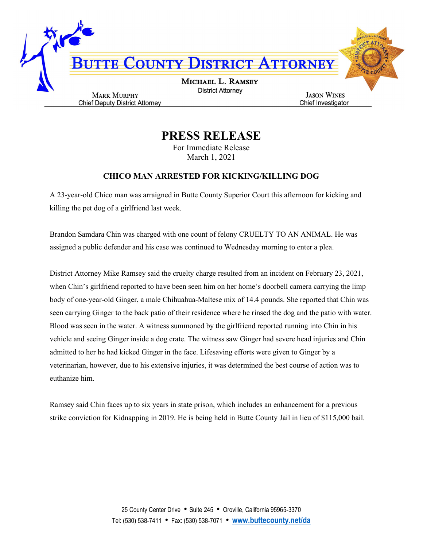

## PRESS RELEASE

For Immediate Release March 1, 2021

## CHICO MAN ARRESTED FOR KICKING/KILLING DOG

A 23-year-old Chico man was arraigned in Butte County Superior Court this afternoon for kicking and killing the pet dog of a girlfriend last week.

Brandon Samdara Chin was charged with one count of felony CRUELTY TO AN ANIMAL. He was assigned a public defender and his case was continued to Wednesday morning to enter a plea.

District Attorney Mike Ramsey said the cruelty charge resulted from an incident on February 23, 2021, when Chin's girlfriend reported to have been seen him on her home's doorbell camera carrying the limp body of one-year-old Ginger, a male Chihuahua-Maltese mix of 14.4 pounds. She reported that Chin was seen carrying Ginger to the back patio of their residence where he rinsed the dog and the patio with water. Blood was seen in the water. A witness summoned by the girlfriend reported running into Chin in his vehicle and seeing Ginger inside a dog crate. The witness saw Ginger had severe head injuries and Chin admitted to her he had kicked Ginger in the face. Lifesaving efforts were given to Ginger by a veterinarian, however, due to his extensive injuries, it was determined the best course of action was to euthanize him.

Ramsey said Chin faces up to six years in state prison, which includes an enhancement for a previous strike conviction for Kidnapping in 2019. He is being held in Butte County Jail in lieu of \$115,000 bail.